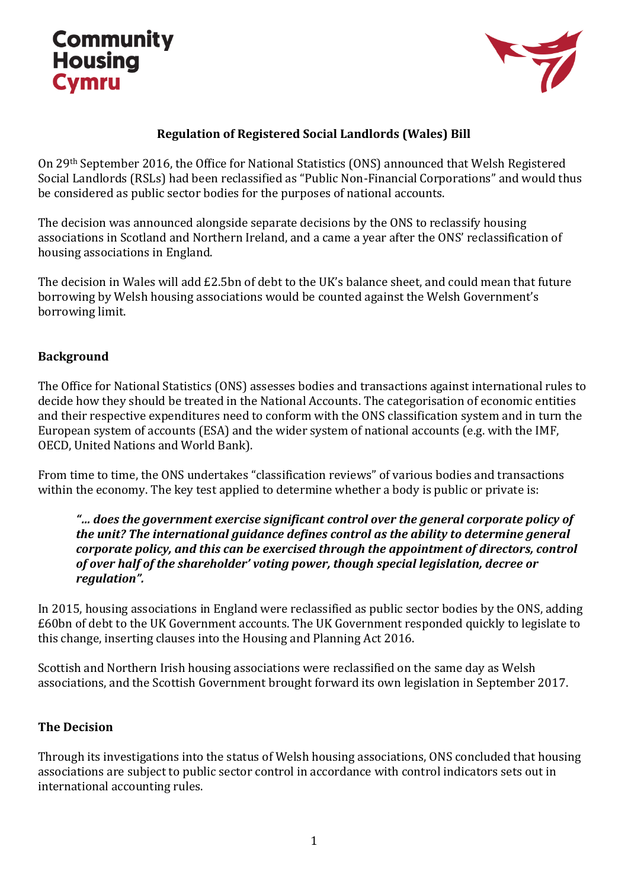# **Community Housing Cymru**



### **Regulation of Registered Social Landlords (Wales) Bill**

On 29th September 2016, the Office for National Statistics (ONS) announced that Welsh Registered Social Landlords (RSLs) had been reclassified as "Public Non-Financial Corporations" and would thus be considered as public sector bodies for the purposes of national accounts.

The decision was announced alongside separate decisions by the ONS to reclassify housing associations in Scotland and Northern Ireland, and a came a year after the ONS' reclassification of housing associations in England.

The decision in Wales will add £2.5bn of debt to the UK's balance sheet, and could mean that future borrowing by Welsh housing associations would be counted against the Welsh Government's borrowing limit.

#### **Background**

The Office for National Statistics (ONS) assesses bodies and transactions against international rules to decide how they should be treated in the National Accounts. The categorisation of economic entities and their respective expenditures need to conform with the ONS classification system and in turn the European system of accounts (ESA) and the wider system of national accounts (e.g. with the IMF, OECD, United Nations and World Bank).

From time to time, the ONS undertakes "classification reviews" of various bodies and transactions within the economy. The key test applied to determine whether a body is public or private is:

#### *"… does the government exercise significant control over the general corporate policy of the unit? The international guidance defines control as the ability to determine general corporate policy, and this can be exercised through the appointment of directors, control of over half of the shareholder' voting power, though special legislation, decree or regulation".*

In 2015, housing associations in England were reclassified as public sector bodies by the ONS, adding £60bn of debt to the UK Government accounts. The UK Government responded quickly to legislate to this change, inserting clauses into the Housing and Planning Act 2016.

Scottish and Northern Irish housing associations were reclassified on the same day as Welsh associations, and the Scottish Government brought forward its own legislation in September 2017.

### **The Decision**

Through its investigations into the status of Welsh housing associations, ONS concluded that housing associations are subject to public sector control in accordance with control indicators sets out in international accounting rules.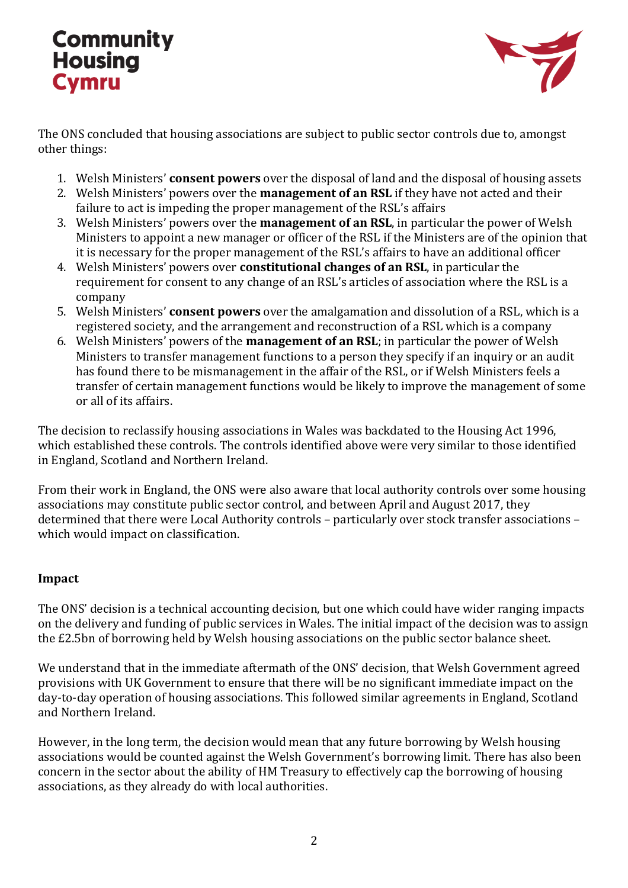# **Community Housing Cymru**



The ONS concluded that housing associations are subject to public sector controls due to, amongst other things:

- 1. Welsh Ministers' **consent powers** over the disposal of land and the disposal of housing assets
- 2. Welsh Ministers' powers over the **management of an RSL** if they have not acted and their failure to act is impeding the proper management of the RSL's affairs
- 3. Welsh Ministers' powers over the **management of an RSL**, in particular the power of Welsh Ministers to appoint a new manager or officer of the RSL if the Ministers are of the opinion that it is necessary for the proper management of the RSL's affairs to have an additional officer
- 4. Welsh Ministers' powers over **constitutional changes of an RSL**, in particular the requirement for consent to any change of an RSL's articles of association where the RSL is a company
- 5. Welsh Ministers' **consent powers** over the amalgamation and dissolution of a RSL, which is a registered society, and the arrangement and reconstruction of a RSL which is a company
- 6. Welsh Ministers' powers of the **management of an RSL**; in particular the power of Welsh Ministers to transfer management functions to a person they specify if an inquiry or an audit has found there to be mismanagement in the affair of the RSL, or if Welsh Ministers feels a transfer of certain management functions would be likely to improve the management of some or all of its affairs.

The decision to reclassify housing associations in Wales was backdated to the Housing Act 1996, which established these controls. The controls identified above were very similar to those identified in England, Scotland and Northern Ireland.

From their work in England, the ONS were also aware that local authority controls over some housing associations may constitute public sector control, and between April and August 2017, they determined that there were Local Authority controls – particularly over stock transfer associations – which would impact on classification.

### **Impact**

The ONS' decision is a technical accounting decision, but one which could have wider ranging impacts on the delivery and funding of public services in Wales. The initial impact of the decision was to assign the £2.5bn of borrowing held by Welsh housing associations on the public sector balance sheet.

We understand that in the immediate aftermath of the ONS' decision, that Welsh Government agreed provisions with UK Government to ensure that there will be no significant immediate impact on the day-to-day operation of housing associations. This followed similar agreements in England, Scotland and Northern Ireland.

However, in the long term, the decision would mean that any future borrowing by Welsh housing associations would be counted against the Welsh Government's borrowing limit. There has also been concern in the sector about the ability of HM Treasury to effectively cap the borrowing of housing associations, as they already do with local authorities.